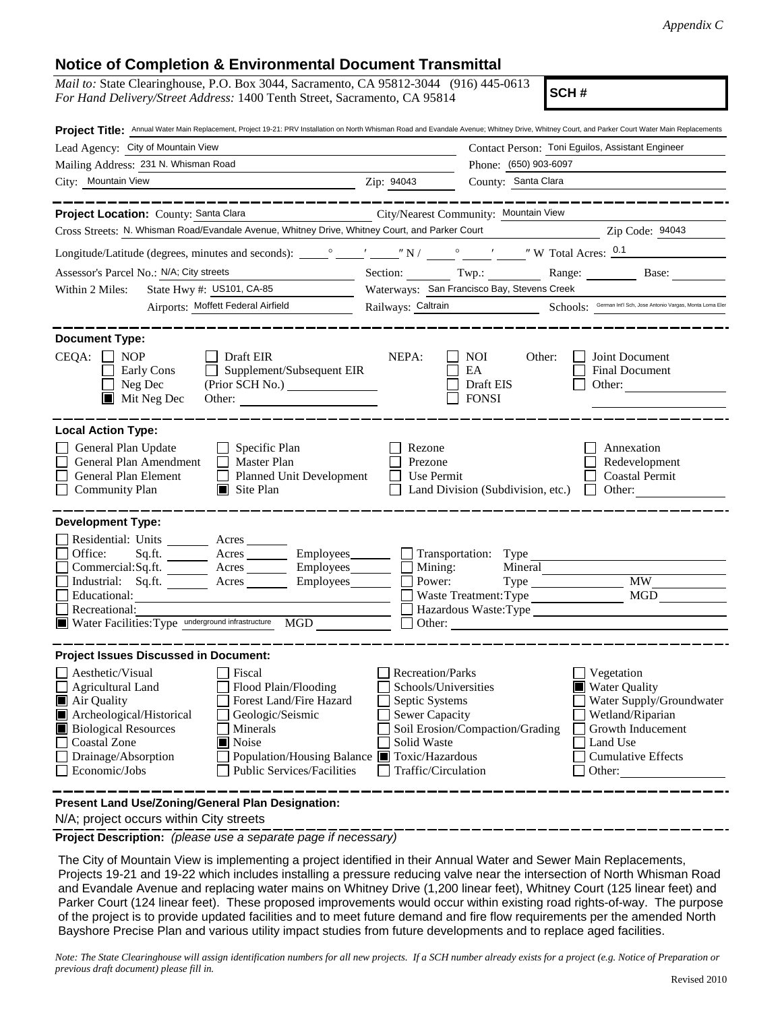## **Notice of Completion & Environmental Document Transmittal**

| <b>NUMBER OF COMPIGNON &amp; LITTLE COMPIGNATION CONTINUES.</b><br><i>Mail to:</i> State Clearinghouse, P.O. Box 3044, Sacramento, CA 95812-3044 (916) 445-0613<br>SCH#<br>For Hand Delivery/Street Address: 1400 Tenth Street, Sacramento, CA 95814                                                                                     |                                                                                                                                                                                                       |                                                                                                                                                     |  |
|------------------------------------------------------------------------------------------------------------------------------------------------------------------------------------------------------------------------------------------------------------------------------------------------------------------------------------------|-------------------------------------------------------------------------------------------------------------------------------------------------------------------------------------------------------|-----------------------------------------------------------------------------------------------------------------------------------------------------|--|
| Project Title: Annual Water Main Replacement, Project 19-21: PRV Installation on North Whisman Road and Evandale Avenue; Whitney Drive, Whitney Court, and Parker Court Water Main Replacements                                                                                                                                          |                                                                                                                                                                                                       |                                                                                                                                                     |  |
| Lead Agency: City of Mountain View                                                                                                                                                                                                                                                                                                       |                                                                                                                                                                                                       | Contact Person: Toni Eguilos, Assistant Engineer                                                                                                    |  |
| Mailing Address: 231 N. Whisman Road                                                                                                                                                                                                                                                                                                     |                                                                                                                                                                                                       | Phone: (650) 903-6097                                                                                                                               |  |
| City: Mountain View                                                                                                                                                                                                                                                                                                                      | $\overline{2ip}$ : 94043                                                                                                                                                                              | County: Santa Clara                                                                                                                                 |  |
| ---------------<br>Project Location: County: Santa Clara                                                                                                                                                                                                                                                                                 | City/Nearest Community: Mountain View                                                                                                                                                                 |                                                                                                                                                     |  |
| Cross Streets: N. Whisman Road/Evandale Avenue, Whitney Drive, Whitney Court, and Parker Court Zip Code: 94043                                                                                                                                                                                                                           |                                                                                                                                                                                                       |                                                                                                                                                     |  |
|                                                                                                                                                                                                                                                                                                                                          |                                                                                                                                                                                                       |                                                                                                                                                     |  |
| Assessor's Parcel No.: N/A; City streets                                                                                                                                                                                                                                                                                                 |                                                                                                                                                                                                       | Section: Twp.: Twp.: Range: Base:                                                                                                                   |  |
| Within 2 Miles:                                                                                                                                                                                                                                                                                                                          | Waterways: San Francisco Bay, Stevens Creek                                                                                                                                                           |                                                                                                                                                     |  |
| State Hwy #: US101, CA-85<br>Airports: Moffett Federal Airfield                                                                                                                                                                                                                                                                          |                                                                                                                                                                                                       | Schools: German Int'l Sch, Jose Antonio Vargas, Monta Loma Eler                                                                                     |  |
|                                                                                                                                                                                                                                                                                                                                          | Railways: Caltrain                                                                                                                                                                                    |                                                                                                                                                     |  |
| <b>Document Type:</b><br>$CEQA: \Box NP$<br>$\Box$ Draft EIR<br>Early Cons<br>Supplement/Subsequent EIR<br>$\Box$ Neg Dec<br>(Prior SCH No.)<br>$\blacksquare$ Mit Neg Dec<br>Other:                                                                                                                                                     | NEPA:<br><b>NOI</b><br>EA<br>Draft EIS<br><b>FONSI</b>                                                                                                                                                | Joint Document<br>Other:<br>Final Document<br>Other:                                                                                                |  |
| <b>Local Action Type:</b><br>General Plan Update<br>$\Box$ Specific Plan<br>General Plan Amendment<br>$\Box$ Master Plan<br>Planned Unit Development<br>General Plan Element<br><b>Community Plan</b><br>$\Box$ Site Plan                                                                                                                | Rezone<br>Prezone<br>Use Permit<br>$\perp$<br>Land Division (Subdivision, etc.)<br>$\perp$                                                                                                            | Annexation<br>Redevelopment<br><b>Coastal Permit</b><br>Other:<br>$\Box$                                                                            |  |
| <b>Development Type:</b><br>Residential: Units ________ Acres ______<br>Office:<br>Sq.fit.<br>Commercial:Sq.ft. ________ Acres ________ Employees _______ __ Mining:<br>Industrial: Sq.ft. <u>Acres</u> Acres Employees<br>Educational:<br>Recreational:<br>Water Facilities: Type underground infrastructure MGD                        | Power:<br>$\overline{\phantom{a}}$<br>Waste Treatment: Type<br>Other:                                                                                                                                 | Acres Employees Transportation: Type<br>$\overline{\text{MW}}$                                                                                      |  |
| <b>Project Issues Discussed in Document:</b>                                                                                                                                                                                                                                                                                             |                                                                                                                                                                                                       |                                                                                                                                                     |  |
| Aesthetic/Visual<br>Fiscal<br><b>Agricultural Land</b><br>Flood Plain/Flooding<br>$\blacksquare$ Air Quality<br>Forest Land/Fire Hazard<br>Archeological/Historical<br>Geologic/Seismic<br><b>Biological Resources</b><br>Minerals<br>Coastal Zone<br>Noise<br>Drainage/Absorption<br><b>Public Services/Facilities</b><br>Economic/Jobs | Recreation/Parks<br>Schools/Universities<br>Septic Systems<br>Sewer Capacity<br>Soil Erosion/Compaction/Grading<br>Solid Waste<br>Population/Housing Balance ■ Toxic/Hazardous<br>Traffic/Circulation | Vegetation<br>Water Quality<br>Water Supply/Groundwater<br>Wetland/Riparian<br>Growth Inducement<br>Land Use<br><b>Cumulative Effects</b><br>Other: |  |
| Present Land Use/Zoning/General Plan Designation:                                                                                                                                                                                                                                                                                        |                                                                                                                                                                                                       |                                                                                                                                                     |  |

N/A; project occurs within City streets

**Project Description:** *(please use a separate page if necessary)*

The City of Mountain View is implementing a project identified in their Annual Water and Sewer Main Replacements, Projects 19-21 and 19-22 which includes installing a pressure reducing valve near the intersection of North Whisman Road and Evandale Avenue and replacing water mains on Whitney Drive (1,200 linear feet), Whitney Court (125 linear feet) and Parker Court (124 linear feet). These proposed improvements would occur within existing road rights-of-way. The purpose of the project is to provide updated facilities and to meet future demand and fire flow requirements per the amended North Bayshore Precise Plan and various utility impact studies from future developments and to replace aged facilities.

*Note: The State Clearinghouse will assign identification numbers for all new projects. If a SCH number already exists for a project (e.g. Notice of Preparation or previous draft document) please fill in.*